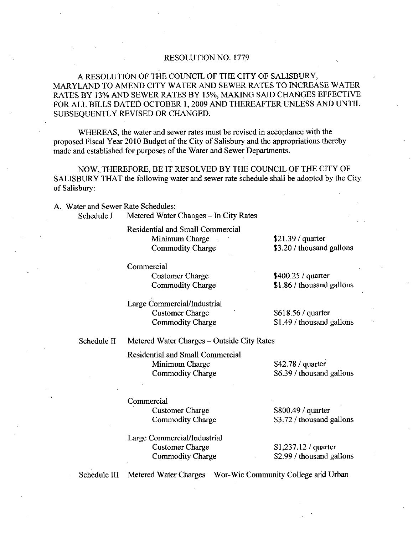## RESOLUTION NO. 1779

A RESOLUTION OF THE COUNCIL OF THE CITY OF SALISBURY MARYLAND TO AMEND CITY WATER AND SEWER RATES TO INCREASE WATER RATES BY 13% AND SEWER RATES BY 15%, MAKING SAID CHANGES EFFECTIVE FOR ALL BILLS DATED OCTOBER 1, 2009 AND THEREAFTER UNLESS AND UNTIL SUBSEQUENTLY REVISED OR CHANGED

WHEREAS, the water and sewer rates must be revised in accordance with the proposed Fiscal Year 2010 Budget of the City of Salisbury and the appropriations thereby made and established for purposes of the Water and Sewer Departments.

NOW, THEREFORE, BE IT RESOLVED BY THE COUNCIL OF THE CITY OF SALISBURYTHAT the following water and sewer rate schedule shall be adopted by the City of Salisbury:

A. Water and Sewer Rate Schedules:

Schedule I Metered Water Changes - In City Rates

Residential and Small Commercial Minimum Charge Commodity Charge

 $$21.39/$  quarter \$3.20 / thousand gallons

Commercial

Customer Chazge Commodity Charge

Large Commercial/Industrial Customer Charge Commodity Charge

\$400.25 / quarter

\$1.86 / thousand gallons

 $$618.56/$  quarter \$1.49 / thousand gallons

Schedule II Metered Water Charges - Outside City Rates

Residential and Small Commercial<br>
Minimum Charge 42.78 / quarter ntial and Small Commercial<br>Minimum Charge **642.78** / quarter<br>Commodity Charge 66.39 / thousand gallons

## **Commercial**

Customer Charge Commodity Charge

Large Commercial/Industrial Customer Chazge Commodity Charge

 $$800.49$  / quarter \$800.49 / quarter<br>\$3.72 / thousand gallons

\$800.49 / quarter<br>\$3.72 / thousand g:<br>\$1,237.12 / quarter<br>\$2.99 / thousand g:  $$1,237.12$  / quarter<br> $$2.99$  / thousand gallons

Schedule III Metered Water Charges - Wor-Wic Community College and Urban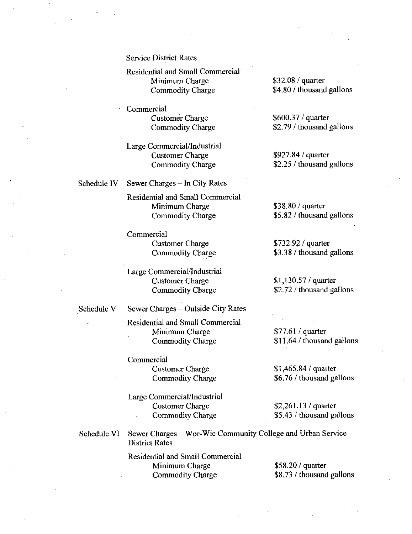Service District Rates

Residential and Small Commercial<br>
Minimum Charge \$32.08 / quarter itial and Small Commercial<br>
Minimum Charge 4832.08 / quarter<br>
Commodity Charge 4.80 / thousand gallons

Commercial ercial<br>Customer Charge 279 (2001)<br>Commodity Charge 22.79 / thousand gallons

Large Commercial Industrial Commercial/Industrial<br>Customer Charge 927.84 / quarter Commercial/Industrial<br>
Customer Charge 25927.84 / quarter<br>
Commodity Charge 25 thousand gallons

Schedule IV Sewer Charges - In City Rates

Residential and Small Commercial<br>
Minimum Charge \$38.80 / quarter ntial and Small Commercial<br>
Minimum Charge 538.80 / quarter<br>
Commodity Charge 55.82 / thousand gallons

Commercial Customer Charge 5732.92 / quarter<br>
Commodity Charge 53.38 / thousand

Large Commercial/Industrial<br>Customer Charge Customer Charge 13732.92 / quarter<br>
Commodity Charge 130 5732.92 / quarter<br>
Commercial/Industrial<br>
Customer Charge 141,130.57 / quarter<br>
Commodity Charge 152.72 / thousand g Commercial/Industrial<br>
Customer Charge 272/4 (uarter<br>
272thousand gallons

Schedule V Sewer Charges - Outside City Rates

Residential and Small Commercial<br>Minimum Charge 777.61 / quarter Minimum Charge 577.61 / quarter<br>
Commodity Charge 511.64 / thousand gallons Minimum Charge 1465.84 / quarter<br>
Commodity Charge 1465.84 / thousand general<br>
Customer Charge 1465.84 / quarter<br>
Commodity Charge 1465.84 / quarter<br>
26.76 / thousand general

Commercial ercial<br>
Customer Charge 61,465.84 / quarter<br>
Commodity Charge 66.76 / thousand gallons

Large Commercial/Industrial<br>Customer Charge Customer Charge 261,465.84 / quarter<br>
Commodity Charge 26.76 / thousand ga<br>
Commercial/Industrial<br>
Customer Charge 262,261.13 / quarter<br>
Commodity Charge 265.43 / thousand ga Commercial/Industrial<br>
Customer Charge 52,261.13 / quarter<br>
Commodity Charge 55.43 / thousand gallons

Schedule VI Sewer Charges – Wor-Wic Community College and Urban Service District Rates

> Residential and Small Commercial<br>
> Minimum Charge 558.20 / quarter ntial and Small Commercial<br>
> Minimum Charge 858.20 / quarter<br>
> Commodity Charge 88.73 / thousand gallons

Customer Charge 600.37 / quarter<br>
Commodity Charge 62.79 / thousand gallons

\$3.38 / thousand gallons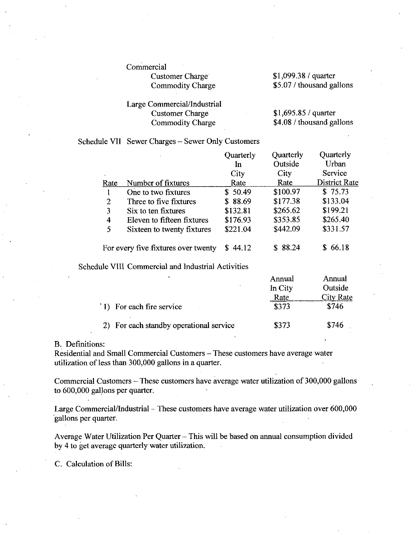ercial<br>Customer Charge 11,099.38 / quarter<br>Commodity Charge 1999.38 / thousand ga encial<br>Customer Charge 51,099.38 / quarter<br>Commodity Charge 55.07 / thousand gallons

# Large Commercial/Industrial<br>Customer Charge Customer Charge 1,099.38 / quarter<br>
Commodity Charge 165.07 / thousand ga<br>
Customer Charge 1,695.85 / quarter<br>
Commodity Charge 1,695.85 / quarter<br>
1,695.85 / quarter<br>
1,695.85 / quarter Commercial/Industrial<br>
Customer Charge 408 thousand gallons<br>
Commodity Charge 4.08 / thousand gallons

## Schedule VII Sewer Charges - Sewer Only Customers

|                                     | $\mathbf{r}$               | Quarterly | Quarterly | Quarterly            |
|-------------------------------------|----------------------------|-----------|-----------|----------------------|
|                                     |                            | In        | Outside   | Urban                |
|                                     |                            | City      | City      | Service              |
| Rate                                | Number of fixtures         | Rate -    | Rate      | <b>District Rate</b> |
|                                     | One to two fixtures        | \$50.49   | \$100.97  | \$75.73              |
| 2                                   | Three to five fixtures     | \$88.69   | \$177.38  | \$133.04             |
| 3                                   | Six to ten fixtures        | \$132.81  | \$265.62  | \$199.21             |
| 4                                   | Eleven to fifteen fixtures | \$176.93  | \$353.85  | \$265.40             |
| 5                                   | Sixteen to twenty fixtures | \$221.04  | \$442.09  | \$331.57             |
| For every five fixtures over twenty |                            | 44.12     | \$88.24   | 66.18                |

## Schedule VIII Commercial and Industrial Activities

| ۰                                    | Annual  | Annual           |
|--------------------------------------|---------|------------------|
|                                      | In City | Outside          |
|                                      | Rate    | <b>City Rate</b> |
| (1) For each fire service            | \$373   | \$746            |
| For each standby operational service | \$373   | \$746            |

## B. Definitions:

Residential and Small Commercial Customers - These customers have average water Residential and Sinah Commercial Customers – 11<br>utilization of less than 300,000 gallons in a quarter

Commercial Customers - These customers have average water utilization of 300,000 gallons to 600,000 gallons per quarter.

Large Commercial/Industrial  $-$  These customers have average water utilization over 600,000 gallons per quarter

Average Water Utilization Per Quarter - This will be based on annual consumption divided by 4 to get average quarterly water utilization

C. Calculation of Bills: